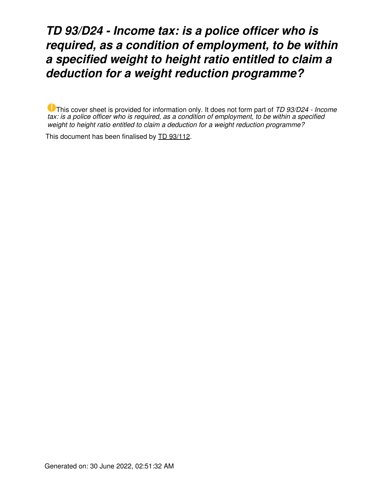## *TD 93/D24 - Income tax: is a police officer who is required, as a condition of employment, to be within a specified weight to height ratio entitled to claim a deduction for a weight reduction programme?*

This cover sheet is provided for information only. It does not form part of *TD 93/D24 - Income tax: is a police officer who is required, as a condition of employment, to be within a specified weight to height ratio entitled to claim a deduction for a weight reduction programme?*

This document has been finalised by [TD 93/112](https://www.ato.gov.au/law/view/document?LocID=%22TXD%2FTD93112%2FNAT%2FATO%22&PiT=19950616000001).